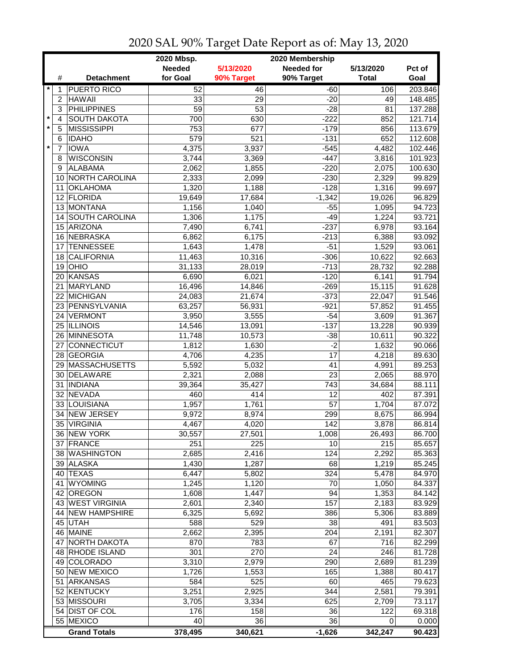|               |                 |                                       | 2020 Mbsp.<br>2020 Membership |                 |                   |                 |                  |  |
|---------------|-----------------|---------------------------------------|-------------------------------|-----------------|-------------------|-----------------|------------------|--|
|               |                 |                                       | <b>Needed</b>                 | 5/13/2020       | <b>Needed for</b> | 5/13/2020       | Pct of           |  |
|               | #               | <b>Detachment</b>                     | for Goal                      | 90% Target      | 90% Target        | <b>Total</b>    | Goal             |  |
| $\ast$        | 1               | <b>PUERTO RICO</b>                    | 52                            | 46              | $-60$             | 106             | 203.846          |  |
|               | $\overline{c}$  | <b>HAWAII</b>                         | 33                            | 29              | $-20$             | 49              | 148.485          |  |
|               | 3               | <b>PHILIPPINES</b>                    | $\overline{59}$               | $\overline{53}$ | $-28$             | 81              | 137.288          |  |
| $\star$       | $\overline{4}$  | <b>SOUTH DAKOTA</b>                   | 700                           | 630             | $-222$            | 852             | 121.714          |  |
| $\star$       | 5               | <b>MISSISSIPPI</b>                    | 753                           | 677             | $-179$            | 856             | 113.679          |  |
|               | 6               | <b>IDAHO</b>                          | 579                           | 521             | $-131$            | 652             | 112.608          |  |
| $\pmb{\star}$ | $\overline{7}$  | <b>IOWA</b>                           | 4,375                         | 3,937           | $-545$            | 4,482           | 102.446          |  |
|               | 8               | <b>WISCONSIN</b>                      | 3,744                         | 3,369           | $-447$            | 3,816           | 101.923          |  |
|               | 9               | <b>ALABAMA</b>                        | 2,062                         | 1,855           | $-220$            | 2,075           | 100.630          |  |
|               | 10              | NORTH CAROLINA                        | 2,333                         | 2,099           | $-230$            | 2,329           | 99.829           |  |
|               | 11              | <b>OKLAHOMA</b>                       | 1,320                         | 1,188           | $-128$            | 1,316           | 99.697           |  |
|               | 12 <sup>2</sup> | FLORIDA                               | 19,649                        | 17,684          | $-1,342$          | 19,026          | 96.829           |  |
|               |                 | 13 MONTANA                            | 1,156                         | 1,040           | $-55$             | 1,095           | 94.723           |  |
|               | 14              | SOUTH CAROLINA                        | 1,306                         | 1,175           | $-49$             | 1,224           | 93.721           |  |
|               | 15              | <b>ARIZONA</b>                        | 7,490                         | 6,741           | $-237$            | 6,978           | 93.164           |  |
|               |                 | <b>NEBRASKA</b>                       |                               |                 |                   |                 | 93.092           |  |
|               | 16              |                                       | 6,862                         | 6,175           | $-213$<br>$-51$   | 6,388           |                  |  |
|               | 17<br>18        | <b>TENNESSEE</b><br><b>CALIFORNIA</b> | 1,643<br>11,463               | 1,478<br>10,316 | $-306$            | 1,529<br>10,622 | 93.061<br>92.663 |  |
|               |                 | <b>OHIO</b>                           | 31,133                        |                 | $-713$            |                 |                  |  |
|               | 19              | 20 KANSAS                             |                               | 28,019          |                   | 28,732          | 92.288           |  |
|               |                 |                                       | 6,690                         | 6,021           | $-120$            | 6,141           | 91.794           |  |
|               | 21              | MARYLAND                              | 16,496                        | 14,846          | $-269$            | 15,115          | 91.628           |  |
|               |                 | 22 MICHIGAN                           | 24,083                        | 21,674          | $-373$            | 22,047          | 91.546           |  |
|               |                 | 23 PENNSYLVANIA                       | 63,257                        | 56,931          | $-921$            | 57,852          | 91.455           |  |
|               | 24              | VERMONT                               | 3,950                         | 3,555           | $-54$             | 3,609           | 91.367           |  |
|               |                 | 25 ILLINOIS                           | 14,546                        | 13,091          | $-137$            | 13,228          | 90.939           |  |
|               |                 | 26 MINNESOTA                          | 11,748                        | 10,573          | $-38$             | 10,611          | 90.322           |  |
|               | 27              | CONNECTICUT                           | 1,812                         | 1,630           | $-2$              | 1,632           | 90.066           |  |
|               | 28              | GEORGIA                               | 4,706                         | 4,235           | 17                | 4,218           | 89.630           |  |
|               | 29              | MASSACHUSETTS                         | 5,592                         | 5,032           | 41                | 4,991           | 89.253           |  |
|               | 30              | DELAWARE                              | 2,321                         | 2,088           | 23                | 2,065           | 88.970           |  |
|               | 31              | <b>INDIANA</b>                        | 39,364                        | 35,427          | 743               | 34,684          | 88.111           |  |
|               | 32 <sup>°</sup> | NEVADA                                | 460                           | 414             | 12                | 402             | 87.391           |  |
|               |                 | 33 LOUISIANA                          | 1,957                         | 1,761           | 57                | 1,704           | 87.072           |  |
|               | 34              | <b>NEW JERSEY</b>                     | 9,972                         | 8,974           | 299               | 8,675           | 86.994           |  |
|               | 35              | <b>VIRGINIA</b>                       | 4,467                         | 4,020           | 142               | 3,878           | 86.814           |  |
|               |                 | 36 NEW YORK                           | 30,557                        | 27,501          | 1,008             | 26,493          | 86.700           |  |
|               |                 | 37 FRANCE                             | 251                           | 225             | 10                | 215             | 85.657           |  |
|               |                 | 38 WASHINGTON                         | 2,685                         | 2,416           | 124               | 2,292           | 85.363           |  |
|               |                 | 39 ALASKA                             | 1,430                         | 1,287           | 68                | 1,219           | 85.245           |  |
|               |                 | 40 TEXAS                              | 6,447                         | 5,802           | 324               | 5,478           | 84.970           |  |
|               | 41              | <b>WYOMING</b>                        | 1,245                         | 1,120           | 70                | 1,050           | 84.337           |  |
|               | 42              | <b>OREGON</b>                         | 1,608                         | 1,447           | 94                | 1,353           | 84.142           |  |
|               |                 | 43 WEST VIRGINIA                      | 2,601                         | 2,340           | 157               | 2,183           | 83.929           |  |
|               |                 | 44 NEW HAMPSHIRE                      | 6,325                         | 5,692           | 386               | 5,306           | 83.889           |  |
|               |                 | 45 UTAH                               | 588                           | 529             | 38                | 491             | 83.503           |  |
|               |                 | 46 MAINE                              | 2,662                         | 2,395           | 204               | 2,191           | 82.307           |  |
|               | 47              | <b>NORTH DAKOTA</b>                   | 870                           | 783             | 67                | 716             | 82.299           |  |
|               |                 | 48 RHODE ISLAND                       | 301                           | 270             | 24                | 246             | 81.728           |  |
|               |                 | 49 COLORADO                           | 3,310                         | 2,979           | 290               | 2,689           | 81.239           |  |
|               |                 | 50 NEW MEXICO                         | 1,726                         | 1,553           | 165               | 1,388           | 80.417           |  |
|               | 51              | <b>ARKANSAS</b>                       | 584                           | 525             | 60                | 465             | 79.623           |  |
|               |                 | 52 KENTUCKY                           | 3,251                         | 2,925           | 344               | 2,581           | 79.391           |  |
|               |                 | 53 MISSOURI                           | 3,705                         | 3,334           | 625               | 2,709           | 73.117           |  |
|               |                 | 54 DIST OF COL                        | 176                           | 158             | 36                | 122             | 69.318           |  |
|               |                 | 55 MEXICO                             | 40                            | 36              | 36                | 0               | 0.000            |  |
|               |                 | <b>Grand Totals</b>                   | 378,495                       | 340,621         | $-1,626$          | 342,247         | 90.423           |  |

## 2020 SAL 90% Target Date Report as of: May 13, 2020